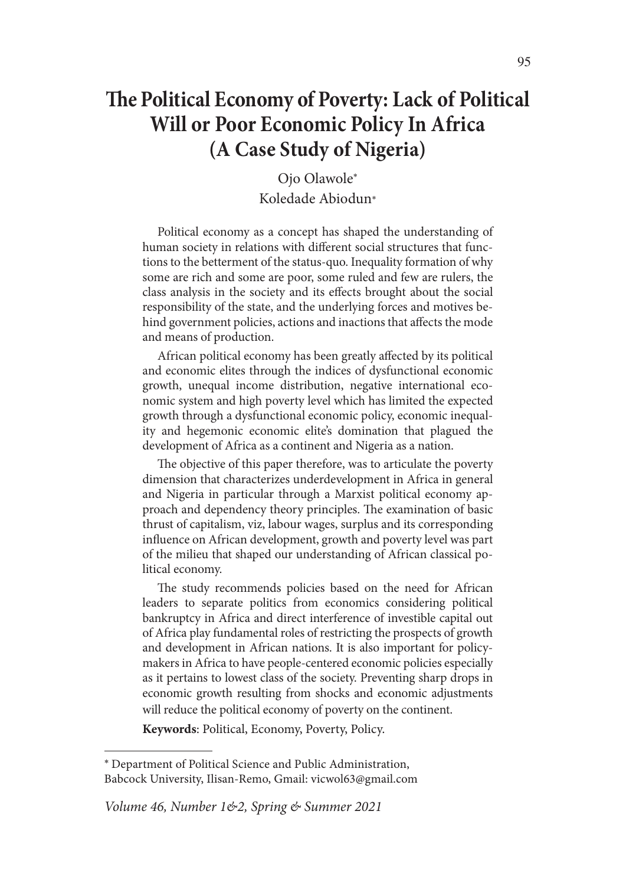# **The Political Economy of Poverty: Lack of Political Will or Poor Economic Policy In Africa (A Case Study of Nigeria)**

Ojo Olawole\* Koledade Abiodun\*

Political economy as a concept has shaped the understanding of human society in relations with different social structures that functions to the betterment of the status-quo. Inequality formation of why some are rich and some are poor, some ruled and few are rulers, the class analysis in the society and its effects brought about the social responsibility of the state, and the underlying forces and motives behind government policies, actions and inactions that affects the mode and means of production.

African political economy has been greatly affected by its political and economic elites through the indices of dysfunctional economic growth, unequal income distribution, negative international economic system and high poverty level which has limited the expected growth through a dysfunctional economic policy, economic inequality and hegemonic economic elite's domination that plagued the development of Africa as a continent and Nigeria as a nation.

The objective of this paper therefore, was to articulate the poverty dimension that characterizes underdevelopment in Africa in general and Nigeria in particular through a Marxist political economy approach and dependency theory principles. The examination of basic thrust of capitalism, viz, labour wages, surplus and its corresponding influence on African development, growth and poverty level was part of the milieu that shaped our understanding of African classical political economy.

The study recommends policies based on the need for African leaders to separate politics from economics considering political bankruptcy in Africa and direct interference of investible capital out of Africa play fundamental roles of restricting the prospects of growth and development in African nations. It is also important for policymakers in Africa to have people-centered economic policies especially as it pertains to lowest class of the society. Preventing sharp drops in economic growth resulting from shocks and economic adjustments will reduce the political economy of poverty on the continent.

**Keywords**: Political, Economy, Poverty, Policy.

<sup>\*</sup> Department of Political Science and Public Administration, Babcock University, Ilisan-Remo, Gmail: vicwol63@gmail.com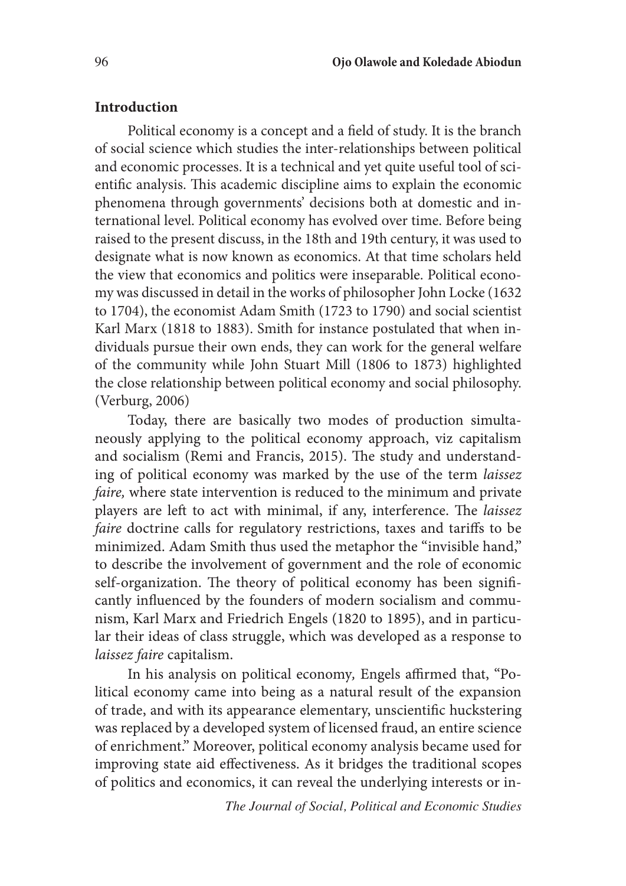#### **Introduction**

Political economy is a concept and a field of study. It is the branch of social science which studies the inter-relationships between political and economic processes. It is a technical and yet quite useful tool of scientific analysis. This academic discipline aims to explain the economic phenomena through governments' decisions both at domestic and international level. Political economy has evolved over time. Before being raised to the present discuss, in the 18th and 19th century, it was used to designate what is now known as economics. At that time scholars held the view that economics and politics were inseparable. Political economy was discussed in detail in the works of philosopher John Locke (1632 to 1704), the economist Adam Smith (1723 to 1790) and social scientist Karl Marx (1818 to 1883). Smith for instance postulated that when individuals pursue their own ends, they can work for the general welfare of the community while John Stuart Mill (1806 to 1873) highlighted the close relationship between political economy and social philosophy. (Verburg, 2006)

Today, there are basically two modes of production simultaneously applying to the political economy approach, viz capitalism and socialism (Remi and Francis, 2015). The study and understanding of political economy was marked by the use of the term *laissez faire,* where state intervention is reduced to the minimum and private players are left to act with minimal, if any, interference. The *laissez faire* doctrine calls for regulatory restrictions, taxes and tariffs to be minimized. Adam Smith thus used the metaphor the "invisible hand," to describe the involvement of government and the role of economic self-organization. The theory of political economy has been significantly influenced by the founders of modern socialism and communism, Karl Marx and Friedrich Engels (1820 to 1895), and in particular their ideas of class struggle, which was developed as a response to *laissez faire* capitalism.

In his analysis on political economy*,* Engels affirmed that, "Political economy came into being as a natural result of the expansion of trade, and with its appearance elementary, unscientific huckstering was replaced by a developed system of licensed fraud, an entire science of enrichment." Moreover, political economy analysis became used for improving state aid effectiveness. As it bridges the traditional scopes of politics and economics, it can reveal the underlying interests or in-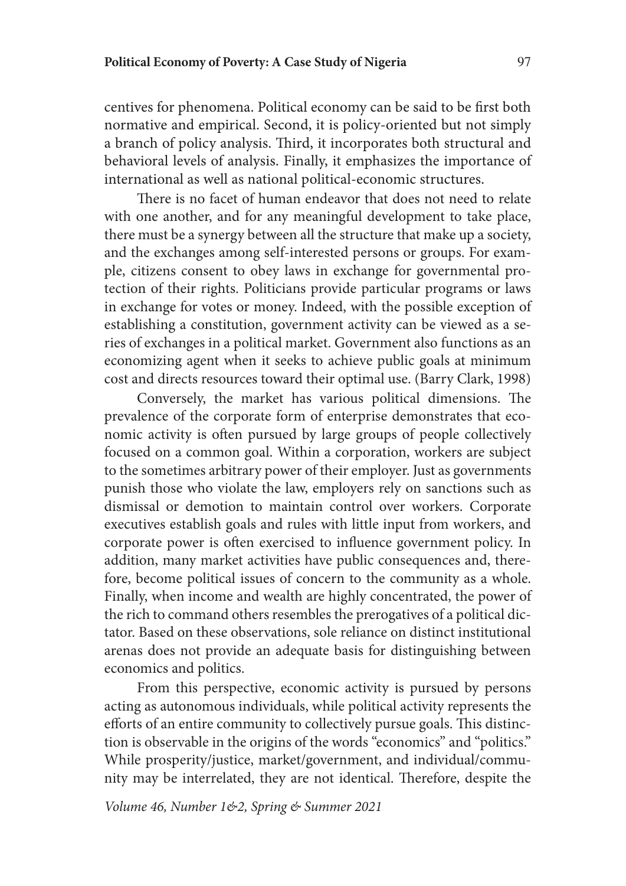centives for phenomena. Political economy can be said to be first both normative and empirical. Second, it is policy-oriented but not simply a branch of policy analysis. Third, it incorporates both structural and behavioral levels of analysis. Finally, it emphasizes the importance of international as well as national political-economic structures.

There is no facet of human endeavor that does not need to relate with one another, and for any meaningful development to take place, there must be a synergy between all the structure that make up a society, and the exchanges among self-interested persons or groups. For example, citizens consent to obey laws in exchange for governmental protection of their rights. Politicians provide particular programs or laws in exchange for votes or money. Indeed, with the possible exception of establishing a constitution, government activity can be viewed as a series of exchanges in a political market. Government also functions as an economizing agent when it seeks to achieve public goals at minimum cost and directs resources toward their optimal use. (Barry Clark, 1998)

Conversely, the market has various political dimensions. The prevalence of the corporate form of enterprise demonstrates that economic activity is often pursued by large groups of people collectively focused on a common goal. Within a corporation, workers are subject to the sometimes arbitrary power of their employer. Just as governments punish those who violate the law, employers rely on sanctions such as dismissal or demotion to maintain control over workers. Corporate executives establish goals and rules with little input from workers, and corporate power is often exercised to influence government policy. In addition, many market activities have public consequences and, therefore, become political issues of concern to the community as a whole. Finally, when income and wealth are highly concentrated, the power of the rich to command others resembles the prerogatives of a political dictator. Based on these observations, sole reliance on distinct institutional arenas does not provide an adequate basis for distinguishing between economics and politics.

From this perspective, economic activity is pursued by persons acting as autonomous individuals, while political activity represents the efforts of an entire community to collectively pursue goals. This distinction is observable in the origins of the words "economics" and "politics." While prosperity/justice, market/government, and individual/community may be interrelated, they are not identical. Therefore, despite the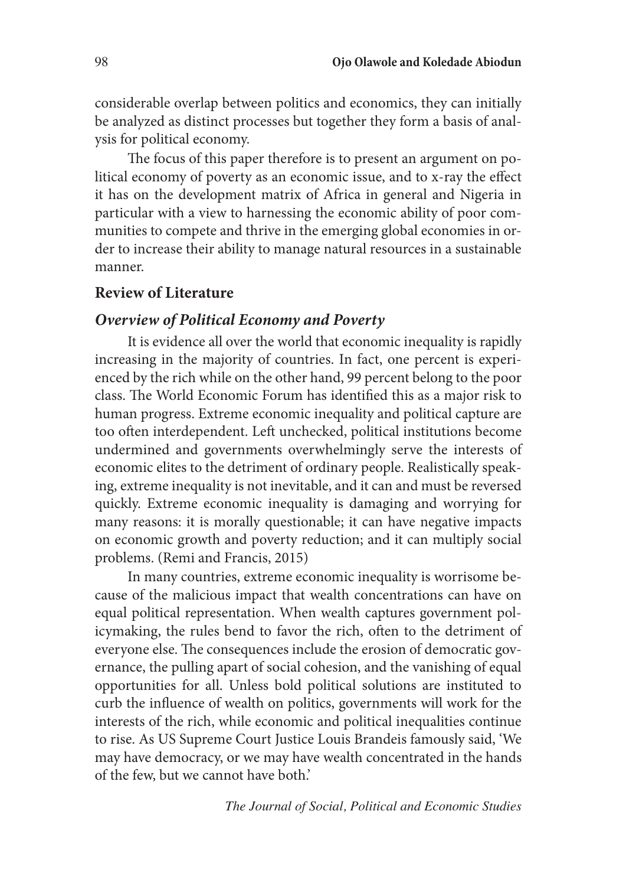considerable overlap between politics and economics, they can initially be analyzed as distinct processes but together they form a basis of analysis for political economy.

The focus of this paper therefore is to present an argument on political economy of poverty as an economic issue, and to x-ray the effect it has on the development matrix of Africa in general and Nigeria in particular with a view to harnessing the economic ability of poor communities to compete and thrive in the emerging global economies in order to increase their ability to manage natural resources in a sustainable manner.

#### **Review of Literature**

# *Overview of Political Economy and Poverty*

It is evidence all over the world that economic inequality is rapidly increasing in the majority of countries. In fact, one percent is experienced by the rich while on the other hand, 99 percent belong to the poor class. The World Economic Forum has identified this as a major risk to human progress. Extreme economic inequality and political capture are too often interdependent. Left unchecked, political institutions become undermined and governments overwhelmingly serve the interests of economic elites to the detriment of ordinary people. Realistically speaking, extreme inequality is not inevitable, and it can and must be reversed quickly. Extreme economic inequality is damaging and worrying for many reasons: it is morally questionable; it can have negative impacts on economic growth and poverty reduction; and it can multiply social problems. (Remi and Francis, 2015)

In many countries, extreme economic inequality is worrisome because of the malicious impact that wealth concentrations can have on equal political representation. When wealth captures government policymaking, the rules bend to favor the rich, often to the detriment of everyone else. The consequences include the erosion of democratic governance, the pulling apart of social cohesion, and the vanishing of equal opportunities for all. Unless bold political solutions are instituted to curb the influence of wealth on politics, governments will work for the interests of the rich, while economic and political inequalities continue to rise. As US Supreme Court Justice Louis Brandeis famously said, 'We may have democracy, or we may have wealth concentrated in the hands of the few, but we cannot have both.'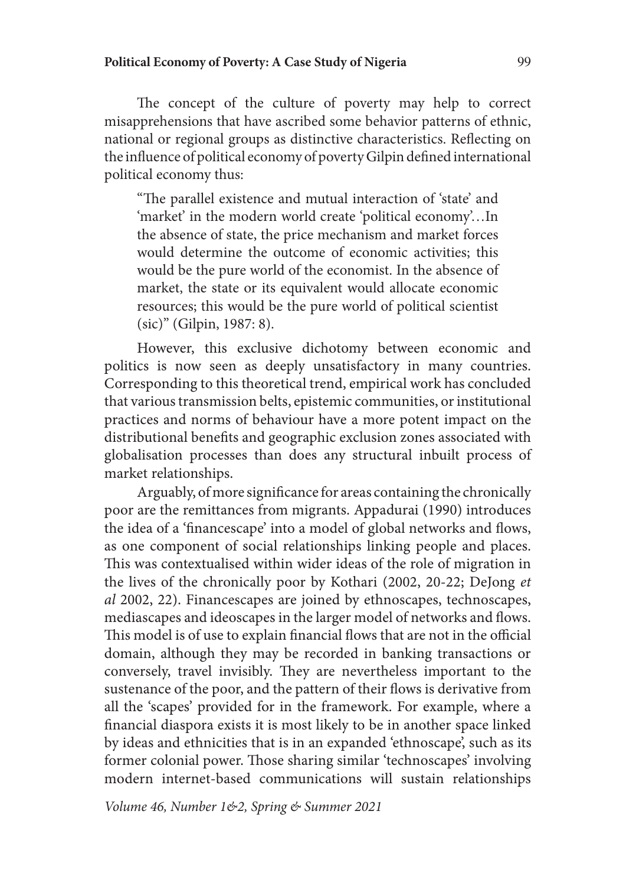The concept of the culture of poverty may help to correct misapprehensions that have ascribed some behavior patterns of ethnic, national or regional groups as distinctive characteristics. Reflecting on the influence of political economy of poverty Gilpin defined international political economy thus:

"The parallel existence and mutual interaction of 'state' and 'market' in the modern world create 'political economy'…In the absence of state, the price mechanism and market forces would determine the outcome of economic activities; this would be the pure world of the economist. In the absence of market, the state or its equivalent would allocate economic resources; this would be the pure world of political scientist (sic)" (Gilpin, 1987: 8).

However, this exclusive dichotomy between economic and politics is now seen as deeply unsatisfactory in many countries. Corresponding to this theoretical trend, empirical work has concluded that various transmission belts, epistemic communities, or institutional practices and norms of behaviour have a more potent impact on the distributional benefits and geographic exclusion zones associated with globalisation processes than does any structural inbuilt process of market relationships.

Arguably, of more significance for areas containing the chronically poor are the remittances from migrants. Appadurai (1990) introduces the idea of a 'financescape' into a model of global networks and flows, as one component of social relationships linking people and places. This was contextualised within wider ideas of the role of migration in the lives of the chronically poor by Kothari (2002, 20-22; DeJong *et al* 2002, 22). Financescapes are joined by ethnoscapes, technoscapes, mediascapes and ideoscapes in the larger model of networks and flows. This model is of use to explain financial flows that are not in the official domain, although they may be recorded in banking transactions or conversely, travel invisibly. They are nevertheless important to the sustenance of the poor, and the pattern of their flows is derivative from all the 'scapes' provided for in the framework. For example, where a financial diaspora exists it is most likely to be in another space linked by ideas and ethnicities that is in an expanded 'ethnoscape', such as its former colonial power. Those sharing similar 'technoscapes' involving modern internet-based communications will sustain relationships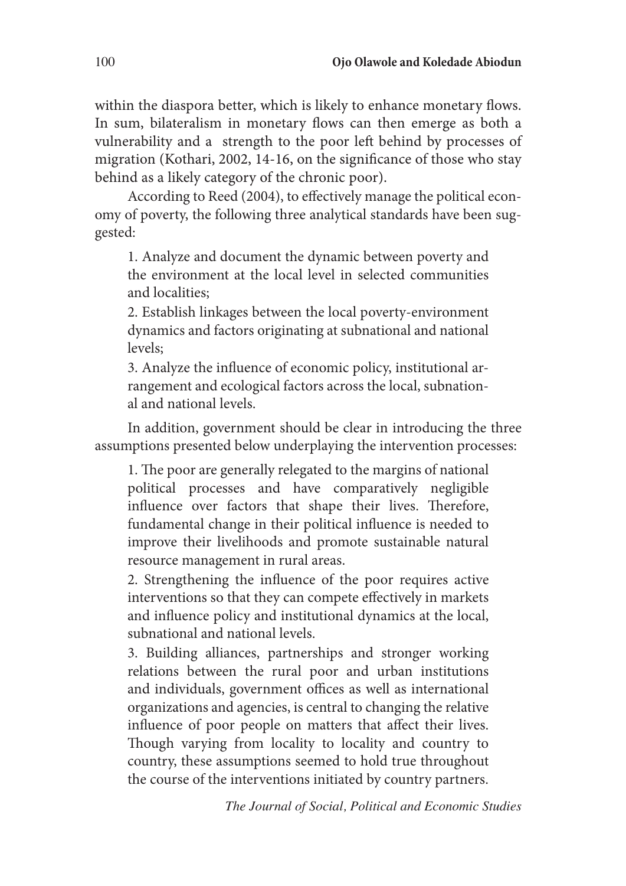within the diaspora better, which is likely to enhance monetary flows. In sum, bilateralism in monetary flows can then emerge as both a vulnerability and a strength to the poor left behind by processes of migration (Kothari, 2002, 14-16, on the significance of those who stay behind as a likely category of the chronic poor).

According to Reed (2004), to effectively manage the political economy of poverty, the following three analytical standards have been suggested:

1. Analyze and document the dynamic between poverty and the environment at the local level in selected communities and localities;

2. Establish linkages between the local poverty-environment dynamics and factors originating at subnational and national levels;

3. Analyze the influence of economic policy, institutional arrangement and ecological factors across the local, subnational and national levels.

In addition, government should be clear in introducing the three assumptions presented below underplaying the intervention processes:

1. The poor are generally relegated to the margins of national political processes and have comparatively negligible influence over factors that shape their lives. Therefore, fundamental change in their political influence is needed to improve their livelihoods and promote sustainable natural resource management in rural areas.

2. Strengthening the influence of the poor requires active interventions so that they can compete effectively in markets and influence policy and institutional dynamics at the local, subnational and national levels.

3. Building alliances, partnerships and stronger working relations between the rural poor and urban institutions and individuals, government offices as well as international organizations and agencies, is central to changing the relative influence of poor people on matters that affect their lives. Though varying from locality to locality and country to country, these assumptions seemed to hold true throughout the course of the interventions initiated by country partners.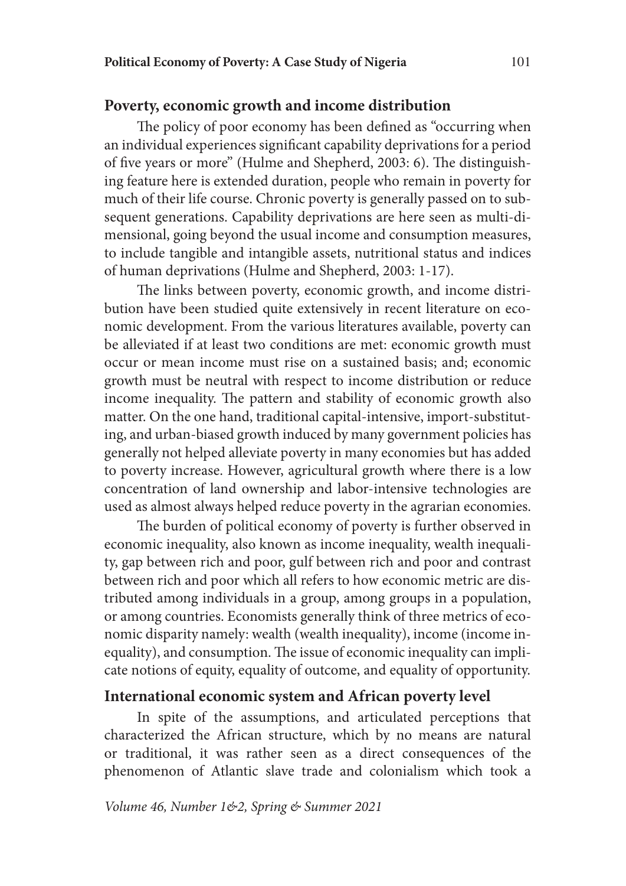# **Poverty, economic growth and income distribution**

The policy of poor economy has been defined as "occurring when an individual experiences significant capability deprivations for a period of five years or more" (Hulme and Shepherd, 2003: 6). The distinguishing feature here is extended duration, people who remain in poverty for much of their life course. Chronic poverty is generally passed on to subsequent generations. Capability deprivations are here seen as multi-dimensional, going beyond the usual income and consumption measures, to include tangible and intangible assets, nutritional status and indices of human deprivations (Hulme and Shepherd, 2003: 1-17).

The links between poverty, economic growth, and income distribution have been studied quite extensively in recent literature on economic development. From the various literatures available, poverty can be alleviated if at least two conditions are met: economic growth must occur or mean income must rise on a sustained basis; and; economic growth must be neutral with respect to income distribution or reduce income inequality. The pattern and stability of economic growth also matter. On the one hand, traditional capital-intensive, import-substituting, and urban-biased growth induced by many government policies has generally not helped alleviate poverty in many economies but has added to poverty increase. However, agricultural growth where there is a low concentration of land ownership and labor-intensive technologies are used as almost always helped reduce poverty in the agrarian economies.

The burden of political economy of poverty is further observed in economic inequality, also known as income inequality, wealth inequality, gap between rich and poor, gulf between rich and poor and contrast between rich and poor which all refers to how economic metric are distributed among individuals in a group, among groups in a population, or among countries. Economists generally think of three metrics of economic disparity namely: wealth (wealth inequality), income (income inequality), and consumption. The issue of economic inequality can implicate notions of equity, equality of outcome, and equality of opportunity.

# **International economic system and African poverty level**

In spite of the assumptions, and articulated perceptions that characterized the African structure, which by no means are natural or traditional, it was rather seen as a direct consequences of the phenomenon of Atlantic slave trade and colonialism which took a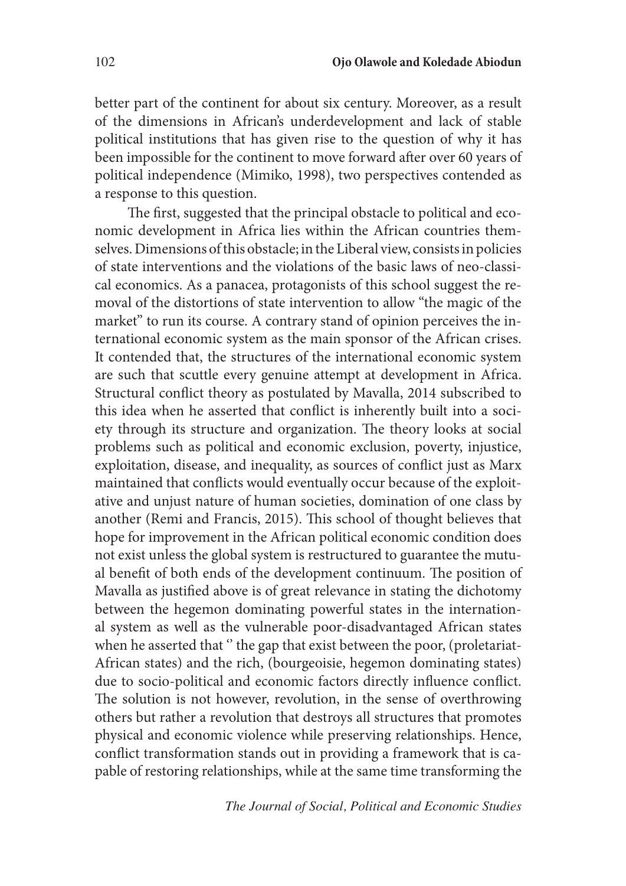better part of the continent for about six century. Moreover, as a result of the dimensions in African's underdevelopment and lack of stable political institutions that has given rise to the question of why it has been impossible for the continent to move forward after over 60 years of political independence (Mimiko, 1998), two perspectives contended as a response to this question.

The first, suggested that the principal obstacle to political and economic development in Africa lies within the African countries themselves. Dimensions of this obstacle; in the Liberal view, consists in policies of state interventions and the violations of the basic laws of neo-classical economics. As a panacea, protagonists of this school suggest the removal of the distortions of state intervention to allow ''the magic of the market'' to run its course. A contrary stand of opinion perceives the international economic system as the main sponsor of the African crises. It contended that, the structures of the international economic system are such that scuttle every genuine attempt at development in Africa. Structural conflict theory as postulated by Mavalla, 2014 subscribed to this idea when he asserted that conflict is inherently built into a society through its structure and organization. The theory looks at social problems such as political and economic exclusion, poverty, injustice, exploitation, disease, and inequality, as sources of conflict just as Marx maintained that conflicts would eventually occur because of the exploitative and unjust nature of human societies, domination of one class by another (Remi and Francis, 2015). This school of thought believes that hope for improvement in the African political economic condition does not exist unless the global system is restructured to guarantee the mutual benefit of both ends of the development continuum. The position of Mavalla as justified above is of great relevance in stating the dichotomy between the hegemon dominating powerful states in the international system as well as the vulnerable poor-disadvantaged African states when he asserted that " the gap that exist between the poor, (proletariat-African states) and the rich, (bourgeoisie, hegemon dominating states) due to socio-political and economic factors directly influence conflict. The solution is not however, revolution, in the sense of overthrowing others but rather a revolution that destroys all structures that promotes physical and economic violence while preserving relationships. Hence, conflict transformation stands out in providing a framework that is capable of restoring relationships, while at the same time transforming the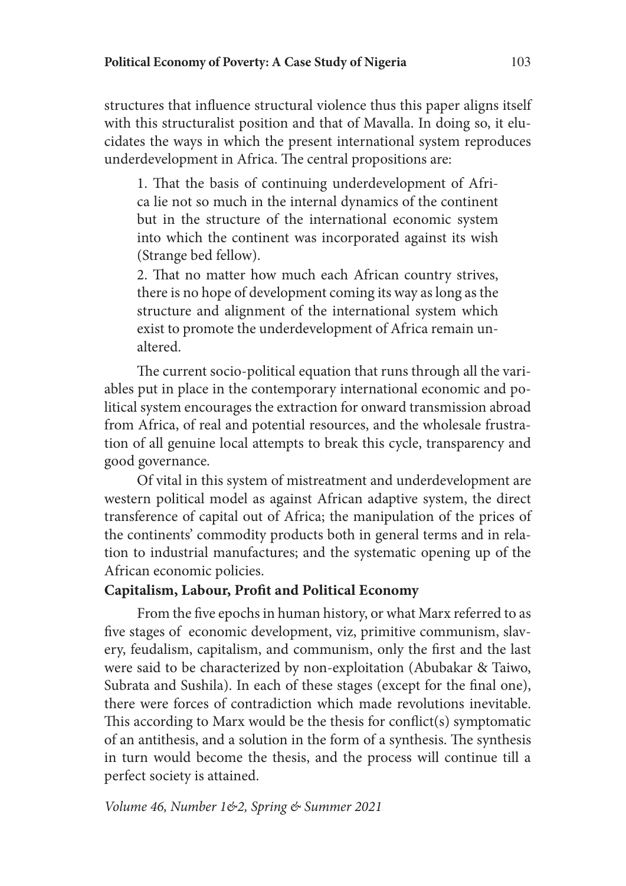structures that influence structural violence thus this paper aligns itself with this structuralist position and that of Mavalla. In doing so, it elucidates the ways in which the present international system reproduces underdevelopment in Africa. The central propositions are:

1. That the basis of continuing underdevelopment of Africa lie not so much in the internal dynamics of the continent but in the structure of the international economic system into which the continent was incorporated against its wish (Strange bed fellow).

2. That no matter how much each African country strives, there is no hope of development coming its way as long as the structure and alignment of the international system which exist to promote the underdevelopment of Africa remain unaltered.

The current socio-political equation that runs through all the variables put in place in the contemporary international economic and political system encourages the extraction for onward transmission abroad from Africa, of real and potential resources, and the wholesale frustration of all genuine local attempts to break this cycle, transparency and good governance.

Of vital in this system of mistreatment and underdevelopment are western political model as against African adaptive system, the direct transference of capital out of Africa; the manipulation of the prices of the continents' commodity products both in general terms and in relation to industrial manufactures; and the systematic opening up of the African economic policies.

#### **Capitalism, Labour, Profit and Political Economy**

From the five epochs in human history, or what Marx referred to as five stages of economic development, viz, primitive communism, slavery, feudalism, capitalism, and communism, only the first and the last were said to be characterized by non-exploitation (Abubakar & Taiwo, Subrata and Sushila). In each of these stages (except for the final one), there were forces of contradiction which made revolutions inevitable. This according to Marx would be the thesis for conflict(s) symptomatic of an antithesis, and a solution in the form of a synthesis. The synthesis in turn would become the thesis, and the process will continue till a perfect society is attained.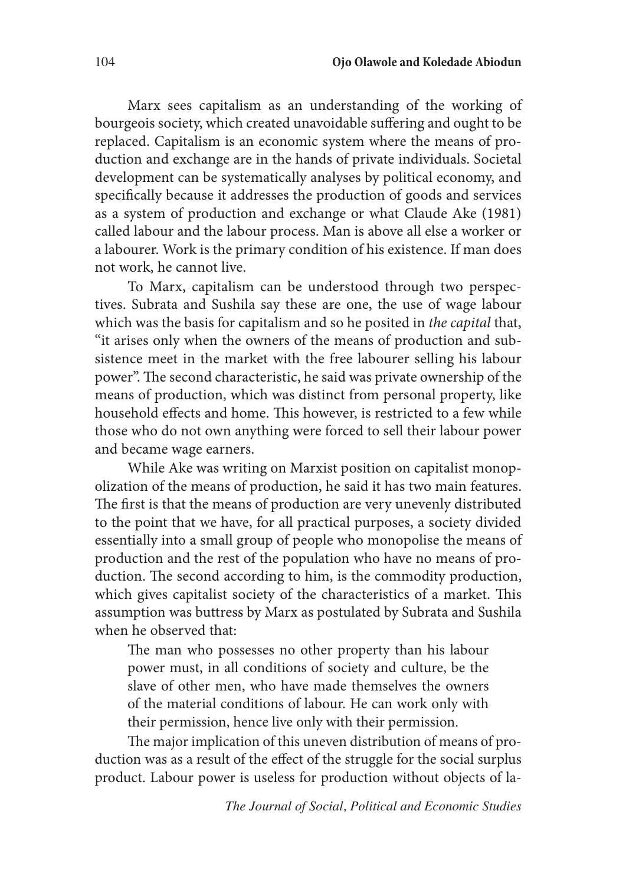Marx sees capitalism as an understanding of the working of bourgeois society, which created unavoidable suffering and ought to be replaced. Capitalism is an economic system where the means of production and exchange are in the hands of private individuals. Societal development can be systematically analyses by political economy, and specifically because it addresses the production of goods and services as a system of production and exchange or what Claude Ake (1981) called labour and the labour process. Man is above all else a worker or a labourer. Work is the primary condition of his existence. If man does not work, he cannot live.

To Marx, capitalism can be understood through two perspectives. Subrata and Sushila say these are one, the use of wage labour which was the basis for capitalism and so he posited in *the capital* that, "it arises only when the owners of the means of production and subsistence meet in the market with the free labourer selling his labour power". The second characteristic, he said was private ownership of the means of production, which was distinct from personal property, like household effects and home. This however, is restricted to a few while those who do not own anything were forced to sell their labour power and became wage earners.

While Ake was writing on Marxist position on capitalist monopolization of the means of production, he said it has two main features. The first is that the means of production are very unevenly distributed to the point that we have, for all practical purposes, a society divided essentially into a small group of people who monopolise the means of production and the rest of the population who have no means of production. The second according to him, is the commodity production, which gives capitalist society of the characteristics of a market. This assumption was buttress by Marx as postulated by Subrata and Sushila when he observed that:

The man who possesses no other property than his labour power must, in all conditions of society and culture, be the slave of other men, who have made themselves the owners of the material conditions of labour. He can work only with their permission, hence live only with their permission.

The major implication of this uneven distribution of means of production was as a result of the effect of the struggle for the social surplus product. Labour power is useless for production without objects of la-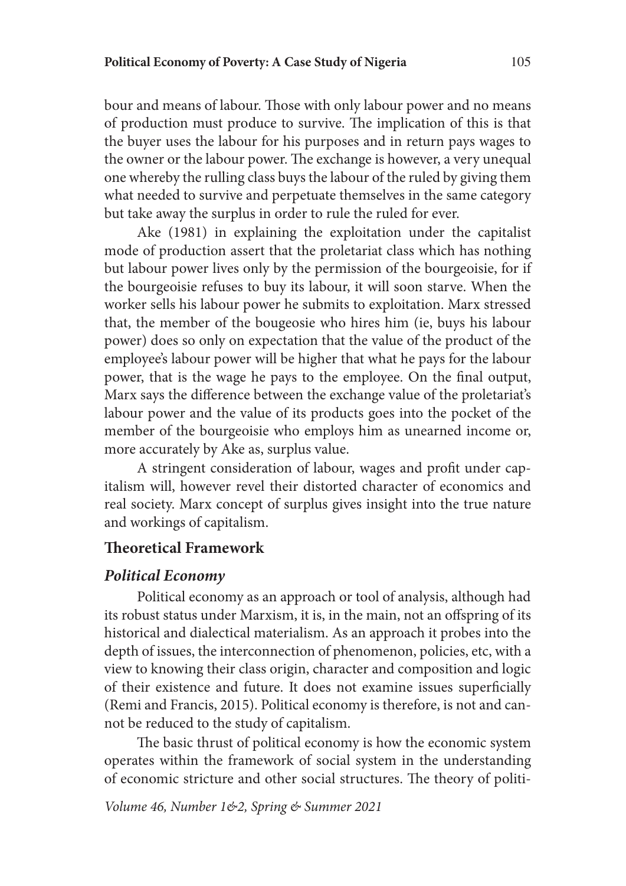#### **Political Economy of Poverty: A Case Study of Nigeria** 105

bour and means of labour. Those with only labour power and no means of production must produce to survive. The implication of this is that the buyer uses the labour for his purposes and in return pays wages to the owner or the labour power. The exchange is however, a very unequal one whereby the rulling class buys the labour of the ruled by giving them what needed to survive and perpetuate themselves in the same category but take away the surplus in order to rule the ruled for ever.

Ake (1981) in explaining the exploitation under the capitalist mode of production assert that the proletariat class which has nothing but labour power lives only by the permission of the bourgeoisie, for if the bourgeoisie refuses to buy its labour, it will soon starve. When the worker sells his labour power he submits to exploitation. Marx stressed that, the member of the bougeosie who hires him (ie, buys his labour power) does so only on expectation that the value of the product of the employee's labour power will be higher that what he pays for the labour power, that is the wage he pays to the employee. On the final output, Marx says the difference between the exchange value of the proletariat's labour power and the value of its products goes into the pocket of the member of the bourgeoisie who employs him as unearned income or, more accurately by Ake as, surplus value.

A stringent consideration of labour, wages and profit under capitalism will, however revel their distorted character of economics and real society. Marx concept of surplus gives insight into the true nature and workings of capitalism.

# **Theoretical Framework**

### *Political Economy*

Political economy as an approach or tool of analysis, although had its robust status under Marxism, it is, in the main, not an offspring of its historical and dialectical materialism. As an approach it probes into the depth of issues, the interconnection of phenomenon, policies, etc, with a view to knowing their class origin, character and composition and logic of their existence and future. It does not examine issues superficially (Remi and Francis, 2015). Political economy is therefore, is not and cannot be reduced to the study of capitalism.

The basic thrust of political economy is how the economic system operates within the framework of social system in the understanding of economic stricture and other social structures. The theory of politi-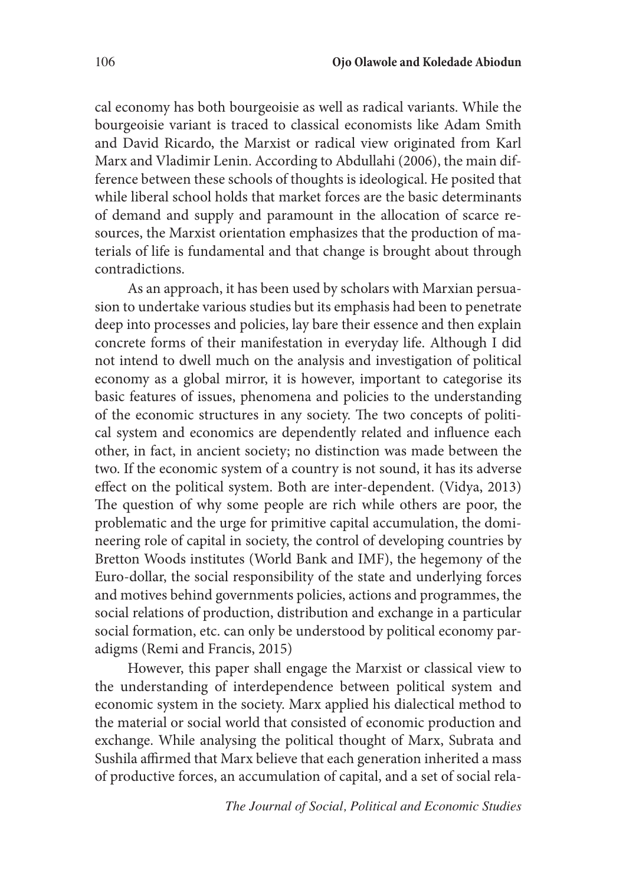cal economy has both bourgeoisie as well as radical variants. While the bourgeoisie variant is traced to classical economists like Adam Smith and David Ricardo, the Marxist or radical view originated from Karl Marx and Vladimir Lenin. According to Abdullahi (2006), the main difference between these schools of thoughts is ideological. He posited that while liberal school holds that market forces are the basic determinants of demand and supply and paramount in the allocation of scarce resources, the Marxist orientation emphasizes that the production of materials of life is fundamental and that change is brought about through contradictions.

As an approach, it has been used by scholars with Marxian persuasion to undertake various studies but its emphasis had been to penetrate deep into processes and policies, lay bare their essence and then explain concrete forms of their manifestation in everyday life. Although I did not intend to dwell much on the analysis and investigation of political economy as a global mirror, it is however, important to categorise its basic features of issues, phenomena and policies to the understanding of the economic structures in any society. The two concepts of political system and economics are dependently related and influence each other, in fact, in ancient society; no distinction was made between the two. If the economic system of a country is not sound, it has its adverse effect on the political system. Both are inter-dependent. (Vidya, 2013) The question of why some people are rich while others are poor, the problematic and the urge for primitive capital accumulation, the domineering role of capital in society, the control of developing countries by Bretton Woods institutes (World Bank and IMF), the hegemony of the Euro-dollar, the social responsibility of the state and underlying forces and motives behind governments policies, actions and programmes, the social relations of production, distribution and exchange in a particular social formation, etc. can only be understood by political economy paradigms (Remi and Francis, 2015)

However, this paper shall engage the Marxist or classical view to the understanding of interdependence between political system and economic system in the society. Marx applied his dialectical method to the material or social world that consisted of economic production and exchange. While analysing the political thought of Marx, Subrata and Sushila affirmed that Marx believe that each generation inherited a mass of productive forces, an accumulation of capital, and a set of social rela-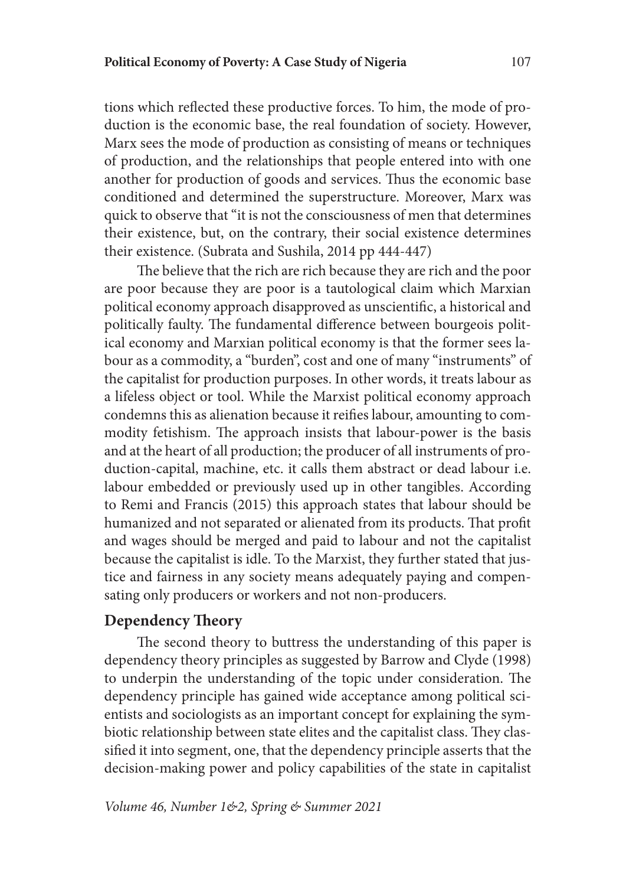tions which reflected these productive forces. To him, the mode of production is the economic base, the real foundation of society. However, Marx sees the mode of production as consisting of means or techniques of production, and the relationships that people entered into with one another for production of goods and services. Thus the economic base conditioned and determined the superstructure. Moreover, Marx was quick to observe that "it is not the consciousness of men that determines their existence, but, on the contrary, their social existence determines their existence. (Subrata and Sushila, 2014 pp 444-447)

The believe that the rich are rich because they are rich and the poor are poor because they are poor is a tautological claim which Marxian political economy approach disapproved as unscientific, a historical and politically faulty. The fundamental difference between bourgeois political economy and Marxian political economy is that the former sees labour as a commodity, a "burden", cost and one of many "instruments" of the capitalist for production purposes. In other words, it treats labour as a lifeless object or tool. While the Marxist political economy approach condemns this as alienation because it reifies labour, amounting to commodity fetishism. The approach insists that labour-power is the basis and at the heart of all production; the producer of all instruments of production-capital, machine, etc. it calls them abstract or dead labour i.e. labour embedded or previously used up in other tangibles. According to Remi and Francis (2015) this approach states that labour should be humanized and not separated or alienated from its products. That profit and wages should be merged and paid to labour and not the capitalist because the capitalist is idle. To the Marxist, they further stated that justice and fairness in any society means adequately paying and compensating only producers or workers and not non-producers.

### **Dependency Theory**

The second theory to buttress the understanding of this paper is dependency theory principles as suggested by Barrow and Clyde (1998) to underpin the understanding of the topic under consideration. The dependency principle has gained wide acceptance among political scientists and sociologists as an important concept for explaining the symbiotic relationship between state elites and the capitalist class. They classified it into segment, one, that the dependency principle asserts that the decision-making power and policy capabilities of the state in capitalist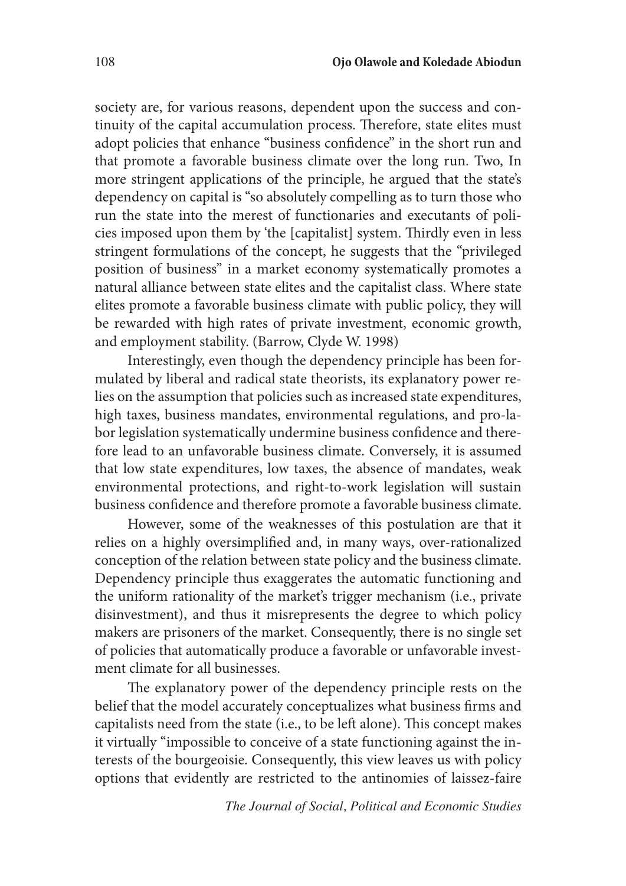society are, for various reasons, dependent upon the success and continuity of the capital accumulation process. Therefore, state elites must adopt policies that enhance "business confidence" in the short run and that promote a favorable business climate over the long run. Two, In more stringent applications of the principle, he argued that the state's dependency on capital is "so absolutely compelling as to turn those who run the state into the merest of functionaries and executants of policies imposed upon them by 'the [capitalist] system. Thirdly even in less stringent formulations of the concept, he suggests that the "privileged position of business" in a market economy systematically promotes a natural alliance between state elites and the capitalist class. Where state elites promote a favorable business climate with public policy, they will be rewarded with high rates of private investment, economic growth, and employment stability. (Barrow, Clyde W. 1998)

Interestingly, even though the dependency principle has been formulated by liberal and radical state theorists, its explanatory power relies on the assumption that policies such as increased state expenditures, high taxes, business mandates, environmental regulations, and pro-labor legislation systematically undermine business confidence and therefore lead to an unfavorable business climate. Conversely, it is assumed that low state expenditures, low taxes, the absence of mandates, weak environmental protections, and right-to-work legislation will sustain business confidence and therefore promote a favorable business climate.

However, some of the weaknesses of this postulation are that it relies on a highly oversimplified and, in many ways, over-rationalized conception of the relation between state policy and the business climate. Dependency principle thus exaggerates the automatic functioning and the uniform rationality of the market's trigger mechanism (i.e., private disinvestment), and thus it misrepresents the degree to which policy makers are prisoners of the market. Consequently, there is no single set of policies that automatically produce a favorable or unfavorable investment climate for all businesses.

The explanatory power of the dependency principle rests on the belief that the model accurately conceptualizes what business firms and capitalists need from the state (i.e., to be left alone). This concept makes it virtually "impossible to conceive of a state functioning against the interests of the bourgeoisie. Consequently, this view leaves us with policy options that evidently are restricted to the antinomies of laissez-faire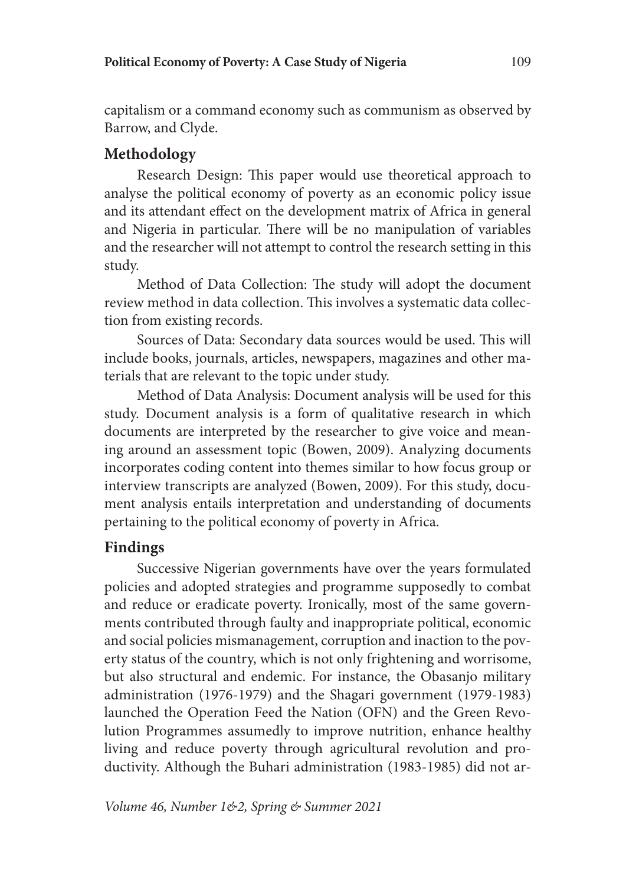capitalism or a command economy such as communism as observed by Barrow, and Clyde.

# **Methodology**

Research Design: This paper would use theoretical approach to analyse the political economy of poverty as an economic policy issue and its attendant effect on the development matrix of Africa in general and Nigeria in particular. There will be no manipulation of variables and the researcher will not attempt to control the research setting in this study.

Method of Data Collection: The study will adopt the document review method in data collection. This involves a systematic data collection from existing records.

Sources of Data: Secondary data sources would be used. This will include books, journals, articles, newspapers, magazines and other materials that are relevant to the topic under study.

Method of Data Analysis: Document analysis will be used for this study. Document analysis is a form of qualitative research in which documents are interpreted by the researcher to give voice and meaning around an assessment topic (Bowen, 2009). Analyzing documents incorporates coding content into themes similar to how focus group or interview transcripts are analyzed (Bowen, 2009). For this study, document analysis entails interpretation and understanding of documents pertaining to the political economy of poverty in Africa.

# **Findings**

Successive Nigerian governments have over the years formulated policies and adopted strategies and programme supposedly to combat and reduce or eradicate poverty. Ironically, most of the same governments contributed through faulty and inappropriate political, economic and social policies mismanagement, corruption and inaction to the poverty status of the country, which is not only frightening and worrisome, but also structural and endemic. For instance, the Obasanjo military administration (1976-1979) and the Shagari government (1979-1983) launched the Operation Feed the Nation (OFN) and the Green Revolution Programmes assumedly to improve nutrition, enhance healthy living and reduce poverty through agricultural revolution and productivity. Although the Buhari administration (1983-1985) did not ar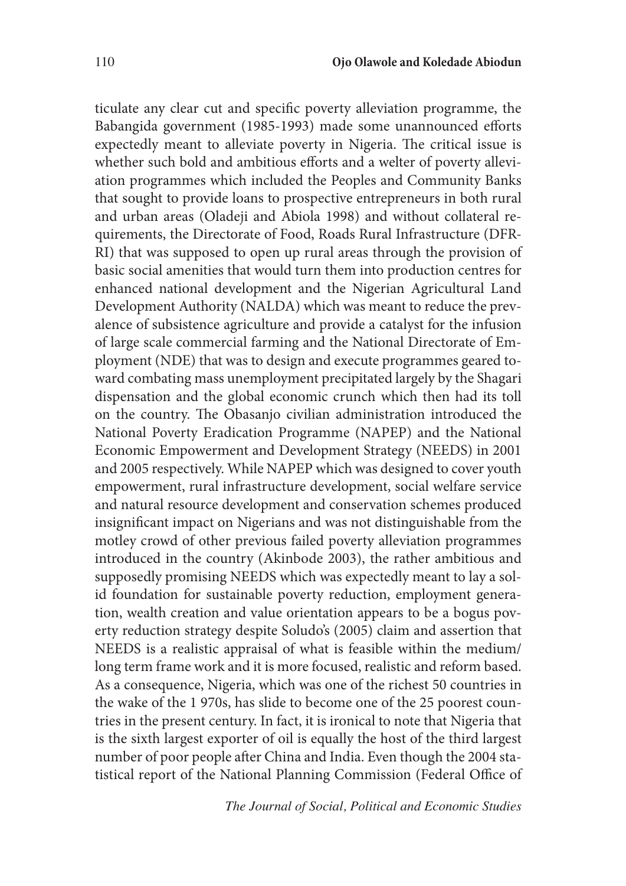ticulate any clear cut and specific poverty alleviation programme, the Babangida government (1985-1993) made some unannounced efforts expectedly meant to alleviate poverty in Nigeria. The critical issue is whether such bold and ambitious efforts and a welter of poverty alleviation programmes which included the Peoples and Community Banks that sought to provide loans to prospective entrepreneurs in both rural and urban areas (Oladeji and Abiola 1998) and without collateral requirements, the Directorate of Food, Roads Rural Infrastructure (DFR-RI) that was supposed to open up rural areas through the provision of basic social amenities that would turn them into production centres for enhanced national development and the Nigerian Agricultural Land Development Authority (NALDA) which was meant to reduce the prevalence of subsistence agriculture and provide a catalyst for the infusion of large scale commercial farming and the National Directorate of Employment (NDE) that was to design and execute programmes geared toward combating mass unemployment precipitated largely by the Shagari dispensation and the global economic crunch which then had its toll on the country. The Obasanjo civilian administration introduced the National Poverty Eradication Programme (NAPEP) and the National Economic Empowerment and Development Strategy (NEEDS) in 2001 and 2005 respectively. While NAPEP which was designed to cover youth empowerment, rural infrastructure development, social welfare service and natural resource development and conservation schemes produced insignificant impact on Nigerians and was not distinguishable from the motley crowd of other previous failed poverty alleviation programmes introduced in the country (Akinbode 2003), the rather ambitious and supposedly promising NEEDS which was expectedly meant to lay a solid foundation for sustainable poverty reduction, employment generation, wealth creation and value orientation appears to be a bogus poverty reduction strategy despite Soludo's (2005) claim and assertion that NEEDS is a realistic appraisal of what is feasible within the medium/ long term frame work and it is more focused, realistic and reform based. As a consequence, Nigeria, which was one of the richest 50 countries in the wake of the 1 970s, has slide to become one of the 25 poorest countries in the present century. In fact, it is ironical to note that Nigeria that is the sixth largest exporter of oil is equally the host of the third largest number of poor people after China and India. Even though the 2004 statistical report of the National Planning Commission (Federal Office of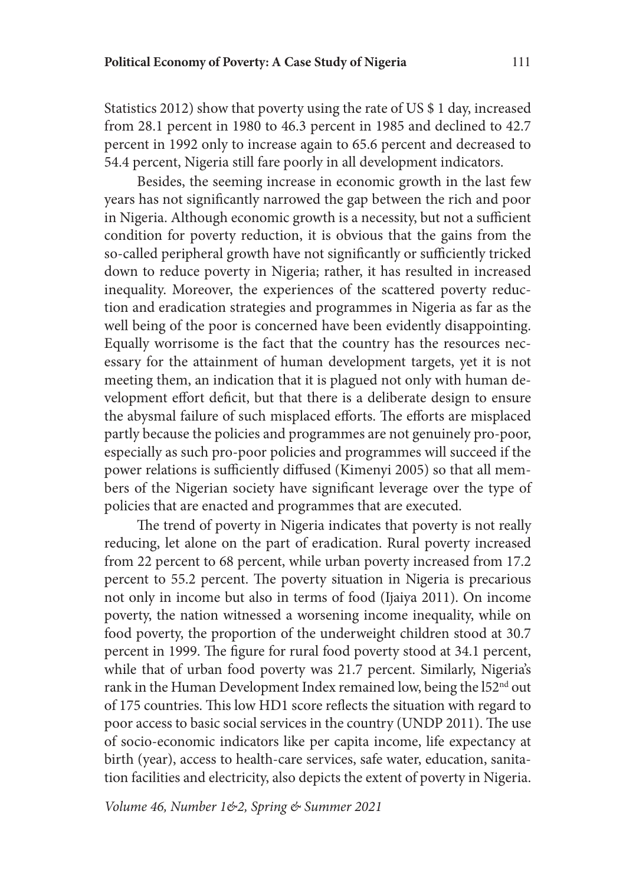Statistics 2012) show that poverty using the rate of US \$ 1 day, increased from 28.1 percent in 1980 to 46.3 percent in 1985 and declined to 42.7 percent in 1992 only to increase again to 65.6 percent and decreased to 54.4 percent, Nigeria still fare poorly in all development indicators.

Besides, the seeming increase in economic growth in the last few years has not significantly narrowed the gap between the rich and poor in Nigeria. Although economic growth is a necessity, but not a sufficient condition for poverty reduction, it is obvious that the gains from the so-called peripheral growth have not significantly or sufficiently tricked down to reduce poverty in Nigeria; rather, it has resulted in increased inequality. Moreover, the experiences of the scattered poverty reduction and eradication strategies and programmes in Nigeria as far as the well being of the poor is concerned have been evidently disappointing. Equally worrisome is the fact that the country has the resources necessary for the attainment of human development targets, yet it is not meeting them, an indication that it is plagued not only with human development effort deficit, but that there is a deliberate design to ensure the abysmal failure of such misplaced efforts. The efforts are misplaced partly because the policies and programmes are not genuinely pro-poor, especially as such pro-poor policies and programmes will succeed if the power relations is sufficiently diffused (Kimenyi 2005) so that all members of the Nigerian society have significant leverage over the type of policies that are enacted and programmes that are executed.

The trend of poverty in Nigeria indicates that poverty is not really reducing, let alone on the part of eradication. Rural poverty increased from 22 percent to 68 percent, while urban poverty increased from 17.2 percent to 55.2 percent. The poverty situation in Nigeria is precarious not only in income but also in terms of food (Ijaiya 2011). On income poverty, the nation witnessed a worsening income inequality, while on food poverty, the proportion of the underweight children stood at 30.7 percent in 1999. The figure for rural food poverty stood at 34.1 percent, while that of urban food poverty was 21.7 percent. Similarly, Nigeria's rank in the Human Development Index remained low, being the l52<sup>nd</sup> out of 175 countries. This low HD1 score reflects the situation with regard to poor access to basic social services in the country (UNDP 2011). The use of socio-economic indicators like per capita income, life expectancy at birth (year), access to health-care services, safe water, education, sanitation facilities and electricity, also depicts the extent of poverty in Nigeria.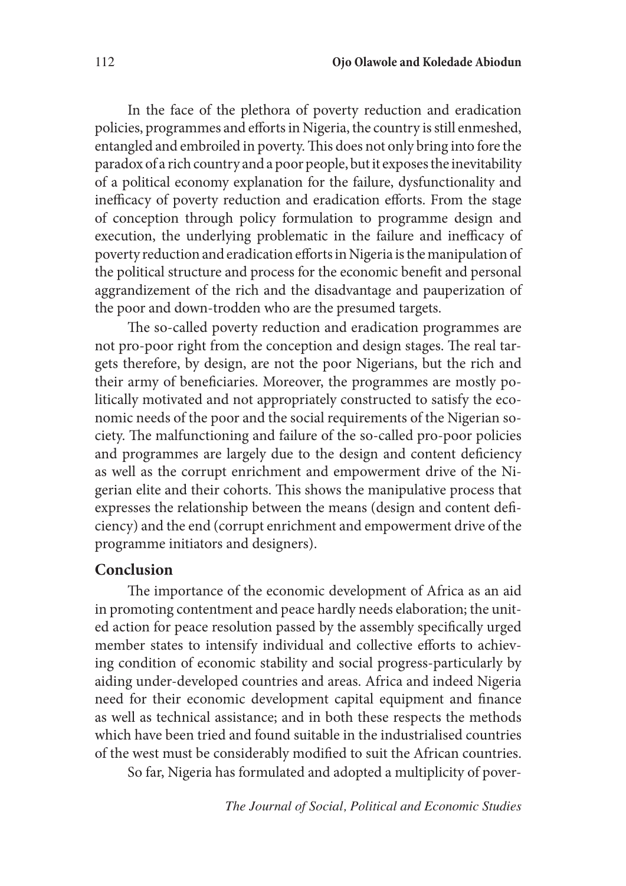In the face of the plethora of poverty reduction and eradication policies, programmes and efforts in Nigeria, the country is still enmeshed, entangled and embroiled in poverty. This does not only bring into fore the paradox of a rich country and a poor people, but it exposes the inevitability of a political economy explanation for the failure, dysfunctionality and inefficacy of poverty reduction and eradication efforts. From the stage of conception through policy formulation to programme design and execution, the underlying problematic in the failure and inefficacy of poverty reduction and eradication efforts in Nigeria is the manipulation of the political structure and process for the economic benefit and personal aggrandizement of the rich and the disadvantage and pauperization of the poor and down-trodden who are the presumed targets.

The so-called poverty reduction and eradication programmes are not pro-poor right from the conception and design stages. The real targets therefore, by design, are not the poor Nigerians, but the rich and their army of beneficiaries. Moreover, the programmes are mostly politically motivated and not appropriately constructed to satisfy the economic needs of the poor and the social requirements of the Nigerian society. The malfunctioning and failure of the so-called pro-poor policies and programmes are largely due to the design and content deficiency as well as the corrupt enrichment and empowerment drive of the Nigerian elite and their cohorts. This shows the manipulative process that expresses the relationship between the means (design and content deficiency) and the end (corrupt enrichment and empowerment drive of the programme initiators and designers).

#### **Conclusion**

The importance of the economic development of Africa as an aid in promoting contentment and peace hardly needs elaboration; the united action for peace resolution passed by the assembly specifically urged member states to intensify individual and collective efforts to achieving condition of economic stability and social progress-particularly by aiding under-developed countries and areas. Africa and indeed Nigeria need for their economic development capital equipment and finance as well as technical assistance; and in both these respects the methods which have been tried and found suitable in the industrialised countries of the west must be considerably modified to suit the African countries.

So far, Nigeria has formulated and adopted a multiplicity of pover-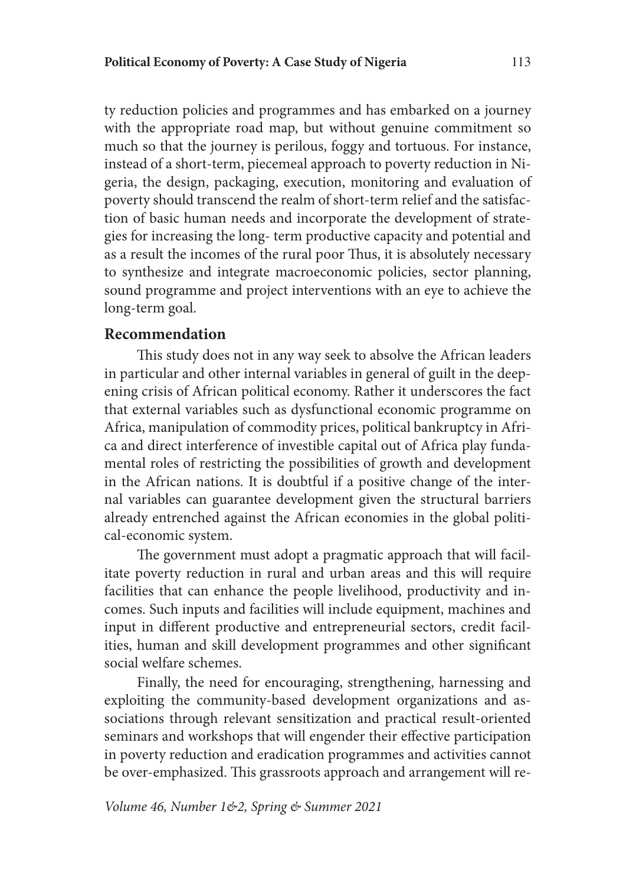ty reduction policies and programmes and has embarked on a journey with the appropriate road map, but without genuine commitment so much so that the journey is perilous, foggy and tortuous. For instance, instead of a short-term, piecemeal approach to poverty reduction in Nigeria, the design, packaging, execution, monitoring and evaluation of poverty should transcend the realm of short-term relief and the satisfaction of basic human needs and incorporate the development of strategies for increasing the long- term productive capacity and potential and as a result the incomes of the rural poor Thus, it is absolutely necessary to synthesize and integrate macroeconomic policies, sector planning, sound programme and project interventions with an eye to achieve the long-term goal.

#### **Recommendation**

This study does not in any way seek to absolve the African leaders in particular and other internal variables in general of guilt in the deepening crisis of African political economy. Rather it underscores the fact that external variables such as dysfunctional economic programme on Africa, manipulation of commodity prices, political bankruptcy in Africa and direct interference of investible capital out of Africa play fundamental roles of restricting the possibilities of growth and development in the African nations. It is doubtful if a positive change of the internal variables can guarantee development given the structural barriers already entrenched against the African economies in the global political-economic system.

The government must adopt a pragmatic approach that will facilitate poverty reduction in rural and urban areas and this will require facilities that can enhance the people livelihood, productivity and incomes. Such inputs and facilities will include equipment, machines and input in different productive and entrepreneurial sectors, credit facilities, human and skill development programmes and other significant social welfare schemes.

Finally, the need for encouraging, strengthening, harnessing and exploiting the community-based development organizations and associations through relevant sensitization and practical result-oriented seminars and workshops that will engender their effective participation in poverty reduction and eradication programmes and activities cannot be over-emphasized. This grassroots approach and arrangement will re-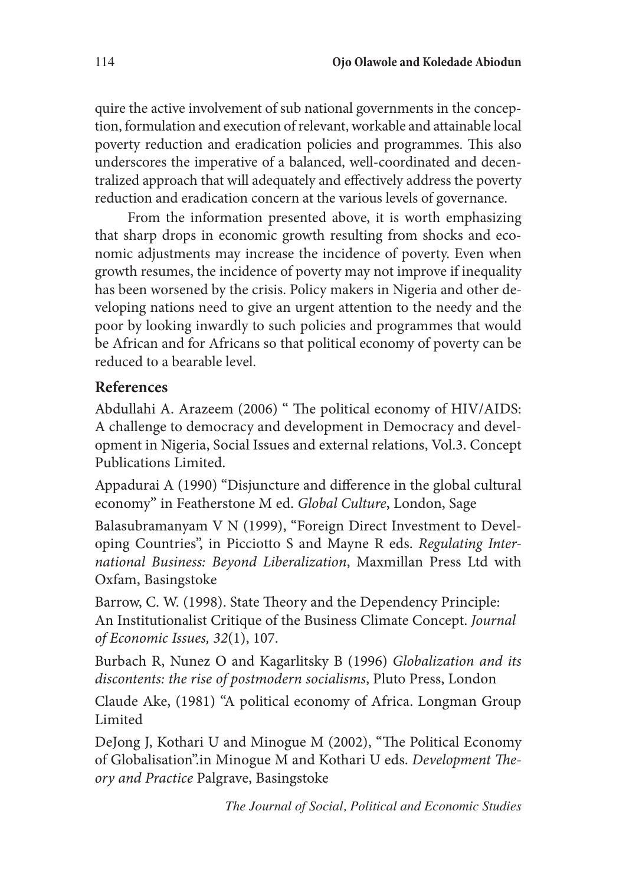quire the active involvement of sub national governments in the conception, formulation and execution of relevant, workable and attainable local poverty reduction and eradication policies and programmes. This also underscores the imperative of a balanced, well-coordinated and decentralized approach that will adequately and effectively address the poverty reduction and eradication concern at the various levels of governance.

From the information presented above, it is worth emphasizing that sharp drops in economic growth resulting from shocks and economic adjustments may increase the incidence of poverty. Even when growth resumes, the incidence of poverty may not improve if inequality has been worsened by the crisis. Policy makers in Nigeria and other developing nations need to give an urgent attention to the needy and the poor by looking inwardly to such policies and programmes that would be African and for Africans so that political economy of poverty can be reduced to a bearable level.

# **References**

Abdullahi A. Arazeem (2006) " The political economy of HIV/AIDS: A challenge to democracy and development in Democracy and development in Nigeria, Social Issues and external relations, Vol.3. Concept Publications Limited.

Appadurai A (1990) "Disjuncture and difference in the global cultural economy" in Featherstone M ed. *Global Culture*, London, Sage

Balasubramanyam V N (1999), "Foreign Direct Investment to Developing Countries", in Picciotto S and Mayne R eds. *Regulating International Business: Beyond Liberalization*, Maxmillan Press Ltd with Oxfam, Basingstoke

Barrow, C. W. (1998). State Theory and the Dependency Principle: An Institutionalist Critique of the Business Climate Concept. *Journal of Economic Issues, 32*(1), 107.

Burbach R, Nunez O and Kagarlitsky B (1996) *Globalization and its discontents: the rise of postmodern socialisms*, Pluto Press, London

Claude Ake, (1981) "A political economy of Africa. Longman Group Limited

DeJong J, Kothari U and Minogue M (2002), "The Political Economy of Globalisation".in Minogue M and Kothari U eds. *Development Theory and Practice* Palgrave, Basingstoke